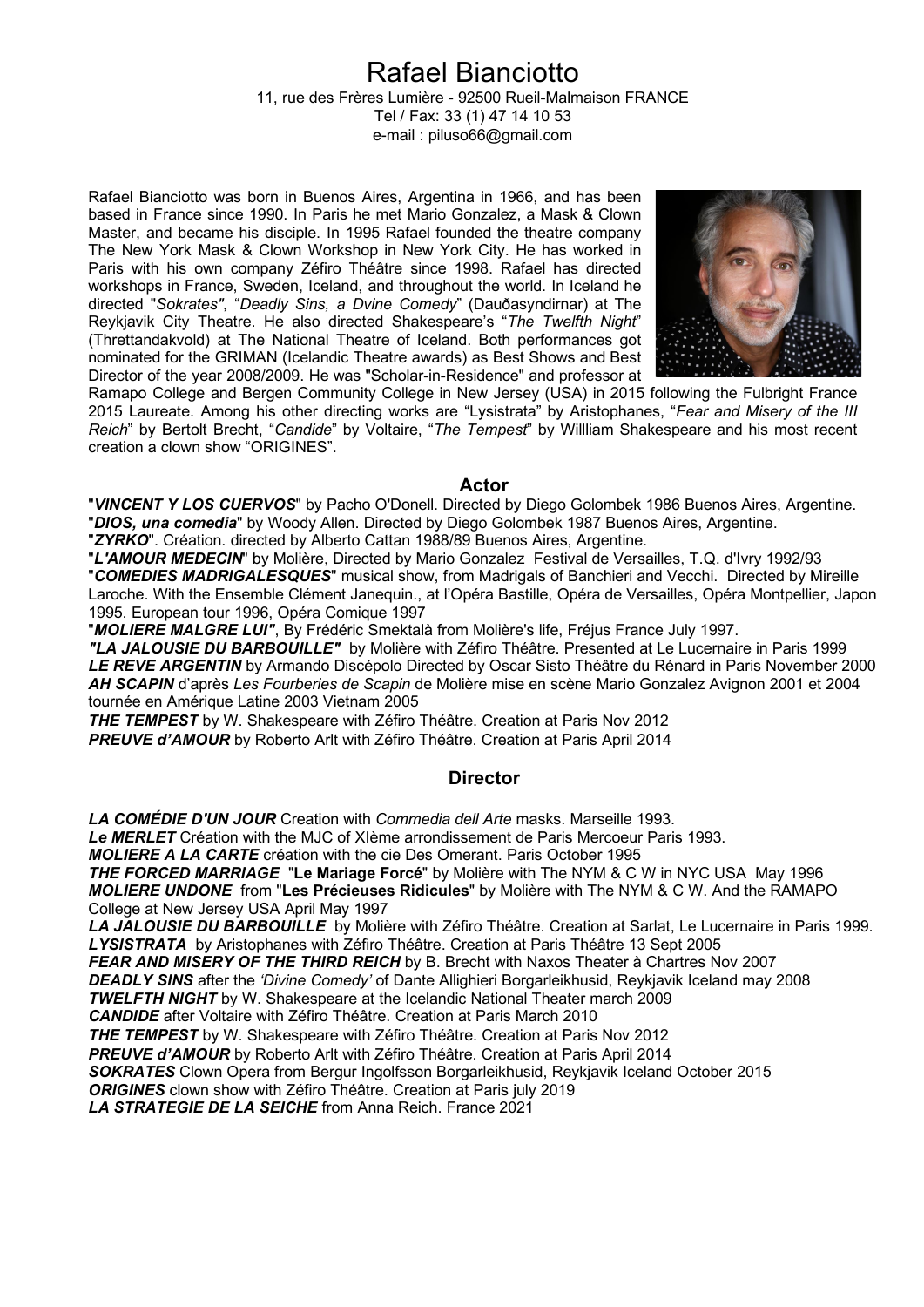# Rafael Bianciotto

11, rue des Frères Lumière - 92500 Rueil-Malmaison FRANCE Tel / Fax: 33 (1) 47 14 10 53 e-mail : piluso66@gmail.com

Rafael Bianciotto was born in Buenos Aires, Argentina in 1966, and has been based in France since 1990. In Paris he met Mario Gonzalez, a Mask & Clown Master, and became his disciple. In 1995 Rafael founded the theatre company The New York Mask & Clown Workshop in New York City. He has worked in Paris with his own company Zéfiro Théâtre since 1998. Rafael has directed workshops in France, Sweden, Iceland, and throughout the world. In Iceland he directed "*Sokrates"*, "*Deadly Sins, a Dvine Comedy*" (Dauðasyndirnar) at The Reykjavik City Theatre. He also directed Shakespeare's "*The Twelfth Night*" (Threttandakvold) at The National Theatre of Iceland. Both performances got nominated for the GRIMAN (Icelandic Theatre awards) as Best Shows and Best Director of the year 2008/2009. He was "Scholar-in-Residence" and professor at



Ramapo College and Bergen Community College in New Jersey (USA) in 2015 following the Fulbright France 2015 Laureate. Among his other directing works are "Lysistrata" by Aristophanes, "*Fear and Misery of the III Reich*" by Bertolt Brecht, "*Candide*" by Voltaire, "*The Tempest*" by Willliam Shakespeare and his most recent creation a clown show "ORIGINES".

#### **Actor**

"*VINCENT Y LOS CUERVOS*" by Pacho O'Donell. Directed by Diego Golombek 1986 Buenos Aires, Argentine. "*DIOS, una comedia*" by Woody Allen. Directed by Diego Golombek 1987 Buenos Aires, Argentine.

"*ZYRKO*". Création. directed by Alberto Cattan 1988/89 Buenos Aires, Argentine.

"*L'AMOUR MEDECIN*" by Molière, Directed by Mario Gonzalez Festival de Versailles, T.Q. d'Ivry 1992/93 "*COMEDIES MADRIGALESQUES*" musical show, from Madrigals of Banchieri and Vecchi. Directed by Mireille Laroche. With the Ensemble Clément Janequin., at l'Opéra Bastille, Opéra de Versailles, Opéra Montpellier, Japon

1995. European tour 1996, Opéra Comique 1997

"*MOLIERE MALGRE LUI"*, By Frédéric Smektalà from Molière's life, Fréjus France July 1997.

*"LA JALOUSIE DU BARBOUILLE"* by Molière with Zéfiro Théâtre. Presented at Le Lucernaire in Paris 1999 *LE REVE ARGENTIN* by Armando Discépolo Directed by Oscar Sisto Théâtre du Rénard in Paris November 2000 *AH SCAPIN* d'après *Les Fourberies de Scapin* de Molière mise en scène Mario Gonzalez Avignon 2001 et 2004 tournée en Amérique Latine 2003 Vietnam 2005

*THE TEMPEST* by W. Shakespeare with Zéfiro Théâtre. Creation at Paris Nov 2012

*PREUVE d'AMOUR* by Roberto Arlt with Zéfiro Théâtre. Creation at Paris April 2014

### **Director**

*LA COMÉDIE D'UN JOUR* Creation with *Commedia dell Arte* masks. Marseille 1993. *Le MERLET* Création with the MJC of XIème arrondissement de Paris Mercoeur Paris 1993. *MOLIERE A LA CARTE* création with the cie Des Omerant. Paris October 1995 *THE FORCED MARRIAGE* "**Le Mariage Forcé**" by Molière with The NYM & C W in NYC USA May 1996 *MOLIERE UNDONE* from "**Les Précieuses Ridicules**" by Molière with The NYM & C W. And the RAMAPO College at New Jersey USA April May 1997 *LA JALOUSIE DU BARBOUILLE* by Molière with Zéfiro Théâtre. Creation at Sarlat, Le Lucernaire in Paris 1999. *LYSISTRATA* by Aristophanes with Zéfiro Théâtre. Creation at Paris Théâtre 13 Sept 2005 **FEAR AND MISERY OF THE THIRD REICH** by B. Brecht with Naxos Theater à Chartres Nov 2007 *DEADLY SINS* after the *'Divine Comedy'* of Dante Allighieri Borgarleikhusid, Reykjavik Iceland may 2008 *TWELFTH NIGHT* by W. Shakespeare at the Icelandic National Theater march 2009 *CANDIDE* after Voltaire with Zéfiro Théâtre. Creation at Paris March 2010 *THE TEMPEST* by W. Shakespeare with Zéfiro Théâtre. Creation at Paris Nov 2012 **PREUVE d'AMOUR** by Roberto Arlt with Zéfiro Théâtre. Creation at Paris April 2014 *SOKRATES* Clown Opera from Bergur Ingolfsson Borgarleikhusid, Reykjavik Iceland October 2015 *ORIGINES* clown show with Zéfiro Théâtre. Creation at Paris july 2019 *LA STRATEGIE DE LA SEICHE* from Anna Reich. France 2021